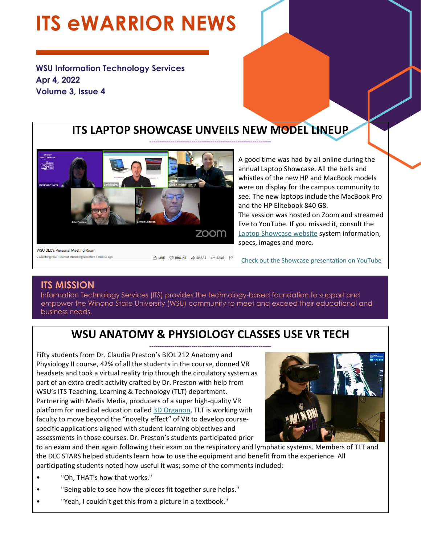## **ITS eWARRIOR NEWS**

**WSU Information Technology Services Apr 4, 2022 Volume 3, Issue 4** 



A good time was had by all online during the annual Laptop Showcase. All the bells and whistles of the new HP and MacBook models were on display for the campus community to see. The new laptops include the MacBook Pro and the HP Elitebook 840 G8. The session was hosted on Zoom and streamed live to YouTube. If you missed it, consult the

Laptop Showcase website system information, specs, images and more.

**WSU DLC's Personal Meeting Room** 2 watching now · Started streaming less than 1 minute ago

n<sup>2</sup>, LIKE *D* DISLIKE *A* SHARE =+ SAVE P

Check out the Showcase presentation on YouTube

#### **ITS MISSION**

Information Technology Services (ITS) provides the technology-based foundation to support and empower the Winona State University (WSU) community to meet and exceed their educational and business needs.

#### **WSU ANATOMY & PHYSIOLOGY CLASSES USE VR TECH**

**‐‐‐‐‐‐‐‐‐‐‐‐‐‐‐‐‐‐‐‐‐‐‐‐‐‐‐‐‐‐‐‐‐‐‐‐‐‐‐‐‐‐‐‐‐‐‐‐‐‐‐‐‐‐‐‐‐‐**  Fifty students from Dr. Claudia Preston's BIOL 212 Anatomy and Physiology II course, 42% of all the students in the course, donned VR headsets and took a virtual reality trip through the circulatory system as part of an extra credit activity crafted by Dr. Preston with help from WSU's ITS Teaching, Learning & Technology (TLT) department. Partnering with Medis Media, producers of a super high‐quality VR platform for medical education called 3D Organon, TLT is working with faculty to move beyond the "novelty effect" of VR to develop course‐ specific applications aligned with student learning objectives and assessments in those courses. Dr. Preston's students participated prior



to an exam and then again following their exam on the respiratory and lymphatic systems. Members of TLT and the DLC STARS helped students learn how to use the equipment and benefit from the experience. All participating students noted how useful it was; some of the comments included:

- "Oh, THAT's how that works."
- "Being able to see how the pieces fit together sure helps."
- "Yeah, I couldn't get this from a picture in a textbook."